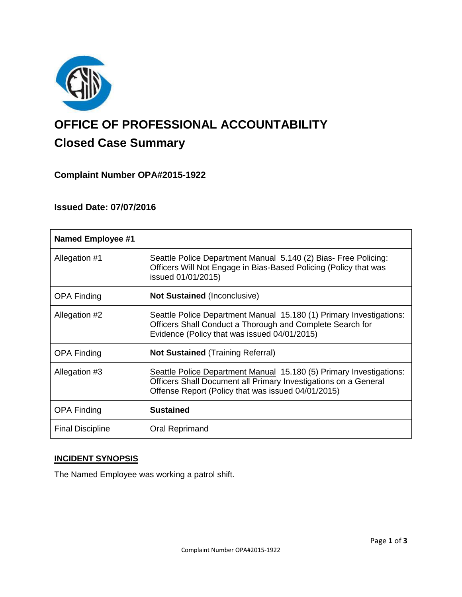

# **OFFICE OF PROFESSIONAL ACCOUNTABILITY Closed Case Summary**

# **Complaint Number OPA#2015-1922**

## **Issued Date: 07/07/2016**

| <b>Named Employee #1</b> |                                                                                                                                                                                              |
|--------------------------|----------------------------------------------------------------------------------------------------------------------------------------------------------------------------------------------|
| Allegation #1            | Seattle Police Department Manual 5.140 (2) Bias- Free Policing:<br>Officers Will Not Engage in Bias-Based Policing (Policy that was<br>issued 01/01/2015)                                    |
| <b>OPA Finding</b>       | <b>Not Sustained (Inconclusive)</b>                                                                                                                                                          |
| Allegation #2            | Seattle Police Department Manual 15.180 (1) Primary Investigations:<br>Officers Shall Conduct a Thorough and Complete Search for<br>Evidence (Policy that was issued 04/01/2015)             |
| <b>OPA Finding</b>       | <b>Not Sustained</b> (Training Referral)                                                                                                                                                     |
| Allegation #3            | Seattle Police Department Manual 15.180 (5) Primary Investigations:<br>Officers Shall Document all Primary Investigations on a General<br>Offense Report (Policy that was issued 04/01/2015) |
| <b>OPA Finding</b>       | <b>Sustained</b>                                                                                                                                                                             |
| <b>Final Discipline</b>  | Oral Reprimand                                                                                                                                                                               |

## **INCIDENT SYNOPSIS**

The Named Employee was working a patrol shift.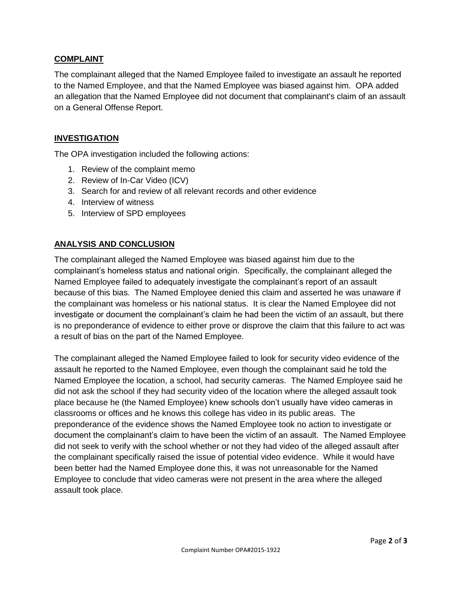## **COMPLAINT**

The complainant alleged that the Named Employee failed to investigate an assault he reported to the Named Employee, and that the Named Employee was biased against him. OPA added an allegation that the Named Employee did not document that complainant's claim of an assault on a General Offense Report.

## **INVESTIGATION**

The OPA investigation included the following actions:

- 1. Review of the complaint memo
- 2. Review of In-Car Video (ICV)
- 3. Search for and review of all relevant records and other evidence
- 4. Interview of witness
- 5. Interview of SPD employees

# **ANALYSIS AND CONCLUSION**

The complainant alleged the Named Employee was biased against him due to the complainant's homeless status and national origin. Specifically, the complainant alleged the Named Employee failed to adequately investigate the complainant's report of an assault because of this bias. The Named Employee denied this claim and asserted he was unaware if the complainant was homeless or his national status. It is clear the Named Employee did not investigate or document the complainant's claim he had been the victim of an assault, but there is no preponderance of evidence to either prove or disprove the claim that this failure to act was a result of bias on the part of the Named Employee.

The complainant alleged the Named Employee failed to look for security video evidence of the assault he reported to the Named Employee, even though the complainant said he told the Named Employee the location, a school, had security cameras. The Named Employee said he did not ask the school if they had security video of the location where the alleged assault took place because he (the Named Employee) knew schools don't usually have video cameras in classrooms or offices and he knows this college has video in its public areas. The preponderance of the evidence shows the Named Employee took no action to investigate or document the complainant's claim to have been the victim of an assault. The Named Employee did not seek to verify with the school whether or not they had video of the alleged assault after the complainant specifically raised the issue of potential video evidence. While it would have been better had the Named Employee done this, it was not unreasonable for the Named Employee to conclude that video cameras were not present in the area where the alleged assault took place.